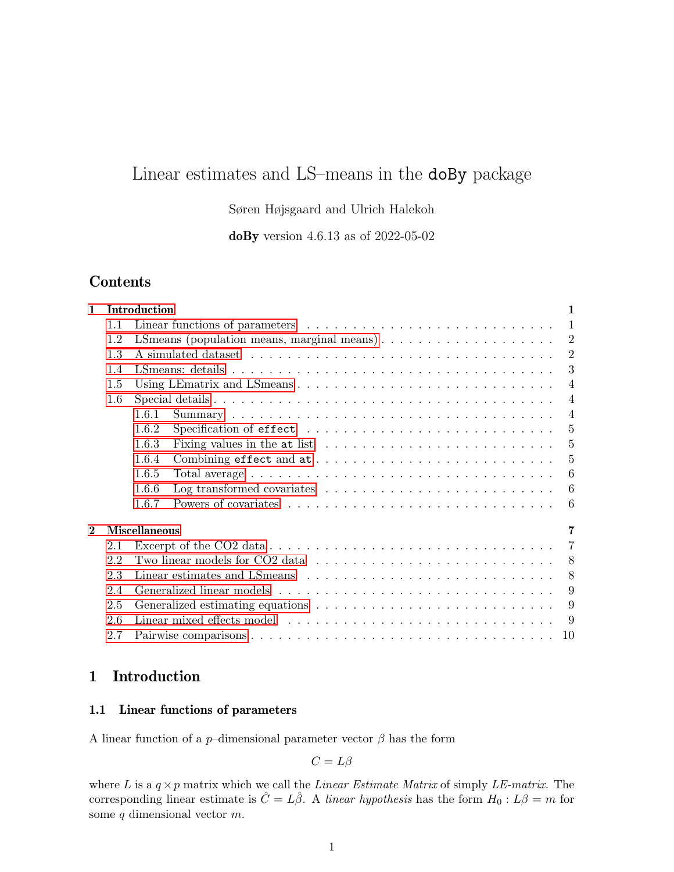# Linear estimates and LS–means in the doBy package

## Søren Højsgaard and Ulrich Halekoh

doBy version 4.6.13 as of 2022-05-02

## Contents

| 1                       |     | Introduction<br>$\mathbf{1}$                                                                              |
|-------------------------|-----|-----------------------------------------------------------------------------------------------------------|
|                         | 1.1 | $\mathbf{1}$                                                                                              |
|                         | 1.2 | $\overline{2}$<br>LS means (population means, marginal means) $\ldots \ldots \ldots \ldots \ldots \ldots$ |
|                         | 1.3 | $\overline{2}$                                                                                            |
|                         | 1.4 | 3                                                                                                         |
|                         | 1.5 | $\overline{4}$                                                                                            |
|                         | 1.6 | $\overline{4}$                                                                                            |
|                         |     | $\overline{4}$<br>1.6.1                                                                                   |
|                         |     | 1.6.2<br>-5                                                                                               |
|                         |     | Fixing values in the at list $\ldots \ldots \ldots \ldots \ldots \ldots \ldots$<br>5<br>1.6.3             |
|                         |     | 5<br>1.6.4                                                                                                |
|                         |     | 1.6.5<br>6                                                                                                |
|                         |     | 1.6.6                                                                                                     |
|                         |     | 1.6.7<br>-6                                                                                               |
| $\overline{\mathbf{2}}$ |     | <b>Miscellaneous</b><br>7                                                                                 |
|                         | 2.1 | $\overline{7}$                                                                                            |
|                         | 2.2 | Two linear models for CO2 data $\ldots \ldots \ldots \ldots \ldots \ldots \ldots \ldots \ldots 8$         |
|                         | 2.3 | 8                                                                                                         |
|                         | 2.4 | 9                                                                                                         |
|                         | 2.5 | 9                                                                                                         |
|                         | 2.6 | -9                                                                                                        |
|                         | 2.7 | - 10                                                                                                      |
|                         |     |                                                                                                           |

## <span id="page-0-0"></span>1 Introduction

## <span id="page-0-1"></span>1.1 Linear functions of parameters

A linear function of a  $p$ –dimensional parameter vector  $\beta$  has the form

$$
C=L\beta
$$

where L is a  $q \times p$  matrix which we call the Linear Estimate Matrix of simply LE-matrix. The corresponding linear estimate is  $\hat{C} = L\hat{\beta}$ . A linear hypothesis has the form  $H_0 : L\beta = m$  for some  $q$  dimensional vector  $m$ .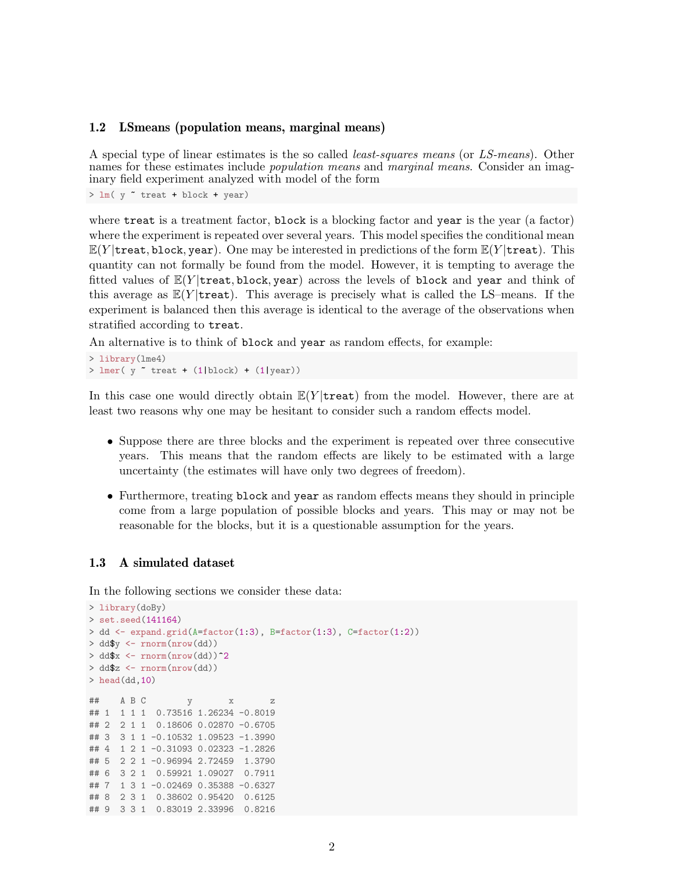#### <span id="page-1-0"></span>1.2 LSmeans (population means, marginal means)

A special type of linear estimates is the so called least-squares means (or LS-means). Other names for these estimates include *population means* and *marginal means*. Consider an imaginary field experiment analyzed with model of the form

 $> \text{lm}$ (  $\text{y}$   $\text{*}$  treat + block + year)

where treat is a treatment factor, block is a blocking factor and year is the year (a factor) where the experiment is repeated over several years. This model specifies the conditional mean  $E(Y | \text{treat}, \text{block}, \text{year})$ . One may be interested in predictions of the form  $E(Y | \text{treat})$ . This quantity can not formally be found from the model. However, it is tempting to average the fitted values of  $E(Y | \text{treat}, \text{block}, \text{year})$  across the levels of block and year and think of this average as  $E(Y | \text{treat})$ . This average is precisely what is called the LS–means. If the experiment is balanced then this average is identical to the average of the observations when stratified according to treat.

An alternative is to think of block and year as random effects, for example:

> library(lme4) >  $lmer(y \text{ 'treat + } (1|block) + (1|year))$ 

In this case one would directly obtain  $E(Y | \text{treat})$  from the model. However, there are at least two reasons why one may be hesitant to consider such a random effects model.

- Suppose there are three blocks and the experiment is repeated over three consecutive years. This means that the random effects are likely to be estimated with a large uncertainty (the estimates will have only two degrees of freedom).
- Furthermore, treating block and year as random effects means they should in principle come from a large population of possible blocks and years. This may or may not be reasonable for the blocks, but it is a questionable assumption for the years.

## <span id="page-1-1"></span>1.3 A simulated dataset

In the following sections we consider these data:

```
> library(doBy)
> set.seed(141164)
> dd \leq expand.grid(A=factor(1:3), B=factor(1:3), C=factor(1:2))
> dd$y <- rnorm(nrow(dd))
> dd$x \leq rnorm(nrow(dd))<sup>^2</sup>
> dd$z <- rnorm(nrow(dd))
> head(dd, 10)
## A B C y x z
## 1 1 1 1 0.73516 1.26234 -0.8019
## 2 2 1 1 0.18606 0.02870 -0.6705
## 3 3 1 1 -0.10532 1.09523 -1.3990
## 4 1 2 1 -0.31093 0.02323 -1.2826
## 5 2 2 1 -0.96994 2.72459 1.3790
## 6 3 2 1 0.59921 1.09027 0.7911
## 7 1 3 1 -0.02469 0.35388 -0.6327
## 8 2 3 1 0.38602 0.95420 0.6125
## 9 3 3 1 0.83019 2.33996 0.8216
```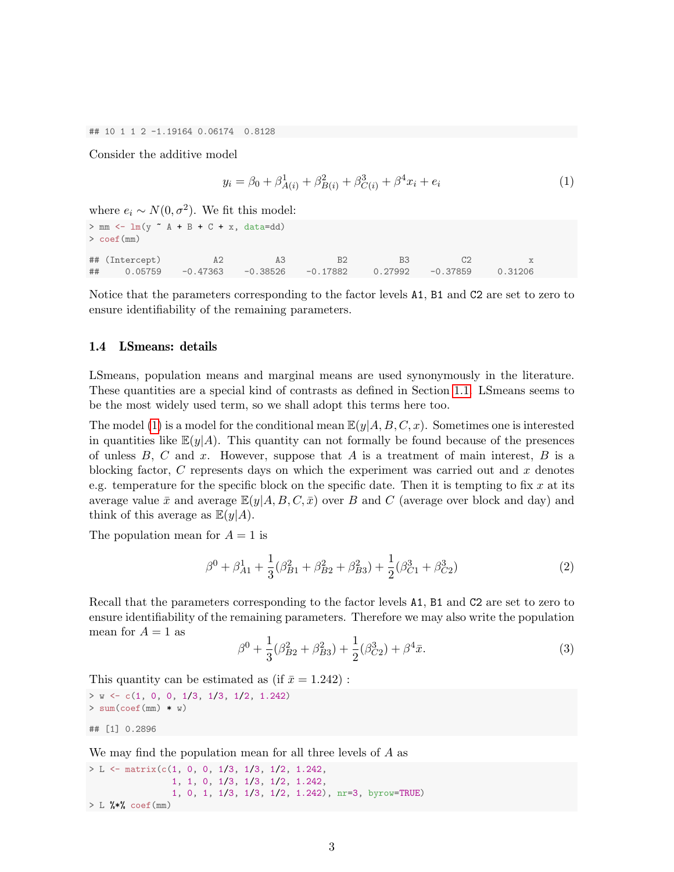## 10 1 1 2 -1.19164 0.06174 0.8128

Consider the additive model

<span id="page-2-1"></span>
$$
y_i = \beta_0 + \beta_{A(i)}^1 + \beta_{B(i)}^2 + \beta_{C(i)}^3 + \beta^4 x_i + e_i \tag{1}
$$

where  $e_i \sim N(0, \sigma^2)$ . We fit this model:

 $> mm \leftarrow lm(y \sim A + B + C + x, data = dd)$ > coef(mm) ## (Intercept) A2 A3 B2 B3 C2 x ## 0.05759 -0.47363 -0.38526 -0.17882 0.27992 -0.37859 0.31206

Notice that the parameters corresponding to the factor levels A1, B1 and C2 are set to zero to ensure identifiability of the remaining parameters.

#### <span id="page-2-0"></span>1.4 LSmeans: details

LSmeans, population means and marginal means are used synonymously in the literature. These quantities are a special kind of contrasts as defined in Section [1.1.](#page-0-1) LSmeans seems to be the most widely used term, so we shall adopt this terms here too.

The model [\(1\)](#page-2-1) is a model for the conditional mean  $\mathbb{E}(y|A, B, C, x)$ . Sometimes one is interested in quantities like  $\mathbb{E}(y|A)$ . This quantity can not formally be found because of the presences of unless  $B, C$  and  $x$ . However, suppose that  $A$  is a treatment of main interest,  $B$  is a blocking factor,  $C$  represents days on which the experiment was carried out and  $x$  denotes e.g. temperature for the specific block on the specific date. Then it is tempting to fix x at its average value  $\bar{x}$  and average  $\mathbb{E}(y|A, B, C, \bar{x})$  over B and C (average over block and day) and think of this average as  $\mathbb{E}(y|A)$ .

The population mean for  $A = 1$  is

$$
\beta^0 + \beta_{A1}^1 + \frac{1}{3}(\beta_{B1}^2 + \beta_{B2}^2 + \beta_{B3}^2) + \frac{1}{2}(\beta_{C1}^3 + \beta_{C2}^3)
$$
 (2)

Recall that the parameters corresponding to the factor levels A1, B1 and C2 are set to zero to ensure identifiability of the remaining parameters. Therefore we may also write the population mean for  $A = 1$  as

$$
\beta^0 + \frac{1}{3}(\beta_{B2}^2 + \beta_{B3}^2) + \frac{1}{2}(\beta_{C2}^3) + \beta^4 \bar{x}.\tag{3}
$$

This quantity can be estimated as (if  $\bar{x} = 1.242$ ):

```
> w \leftarrow c(1, 0, 0, 1/3, 1/3, 1/2, 1.242)> sum(coef(mm) * w)
```

```
## [1] 0.2896
```
We may find the population mean for all three levels of A as

```
> L <- matrix(c(1, 0, 0, 1/3, 1/3, 1/2, 1.242,
                1, 1, 0, 1/3, 1/3, 1/2, 1.242,
                1, 0, 1, 1/3, 1/3, 1/2, 1.242), nr=3, byrow=TRUE)
> L %*% coef(mm)
```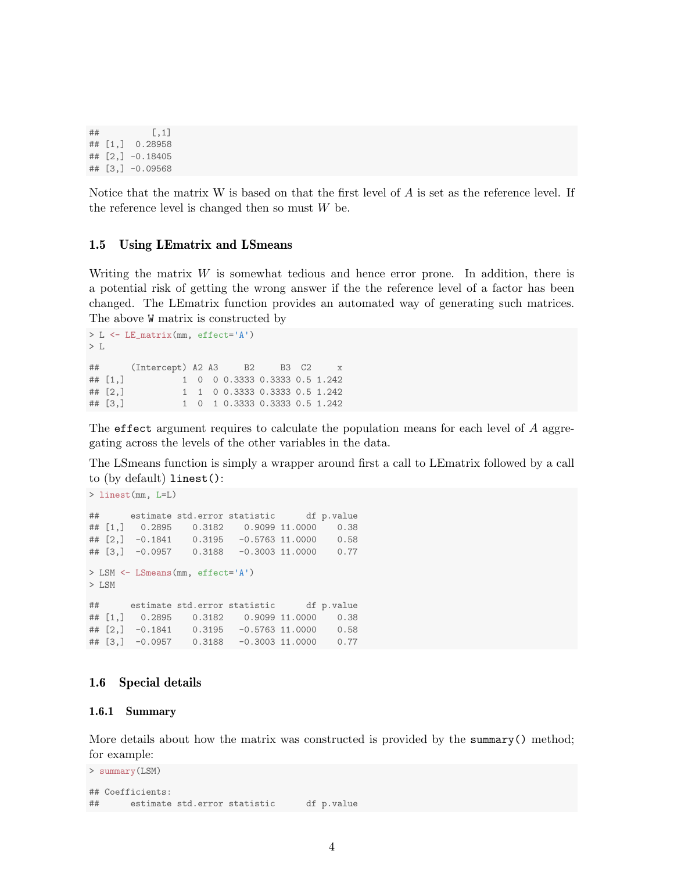```
## [,1]
## [1,] 0.28958
## [2,] -0.18405
## [3,] -0.09568
```
Notice that the matrix W is based on that the first level of  $A$  is set as the reference level. If the reference level is changed then so must  $W$  be.

#### <span id="page-3-0"></span>1.5 Using LEmatrix and LSmeans

Writing the matrix  $W$  is somewhat tedious and hence error prone. In addition, there is a potential risk of getting the wrong answer if the the reference level of a factor has been changed. The LEmatrix function provides an automated way of generating such matrices. The above W matrix is constructed by

```
> L <- LE_matrix(mm, effect='A')
> \; L
## (Intercept) A2 A3 B2 B3 C2 x
## [1,] 1 0 0 0.3333 0.3333 0.5 1.242
## [2,] 1 1 0 0.3333 0.3333 0.5 1.242
## [3,] 1 0 1 0.3333 0.3333 0.5 1.242
```
The effect argument requires to calculate the population means for each level of A aggregating across the levels of the other variables in the data.

The LSmeans function is simply a wrapper around first a call to LEmatrix followed by a call to (by default) linest():

```
> linest(mm, L=L)
## estimate std.error statistic df p.value
## [1,] 0.2895 0.3182 0.9099 11.0000 0.38
## [2,] -0.1841 0.3195 -0.5763 11.0000 0.58
## [3,] -0.0957 0.3188 -0.3003 11.0000 0.77
> LSM <- LSmeans(mm, effect='A')
> LSM
## estimate std.error statistic df p.value
## [1,] 0.2895 0.3182 0.9099 11.0000 0.38
## [2,] -0.1841 0.3195 -0.5763 11.0000 0.58
## [3,] -0.0957 0.3188 -0.3003 11.0000 0.77
```
## <span id="page-3-1"></span>1.6 Special details

#### <span id="page-3-2"></span>1.6.1 Summary

More details about how the matrix was constructed is provided by the summary() method; for example:

```
> summary(LSM)
## Coefficients:
## estimate std.error statistic df p.value
```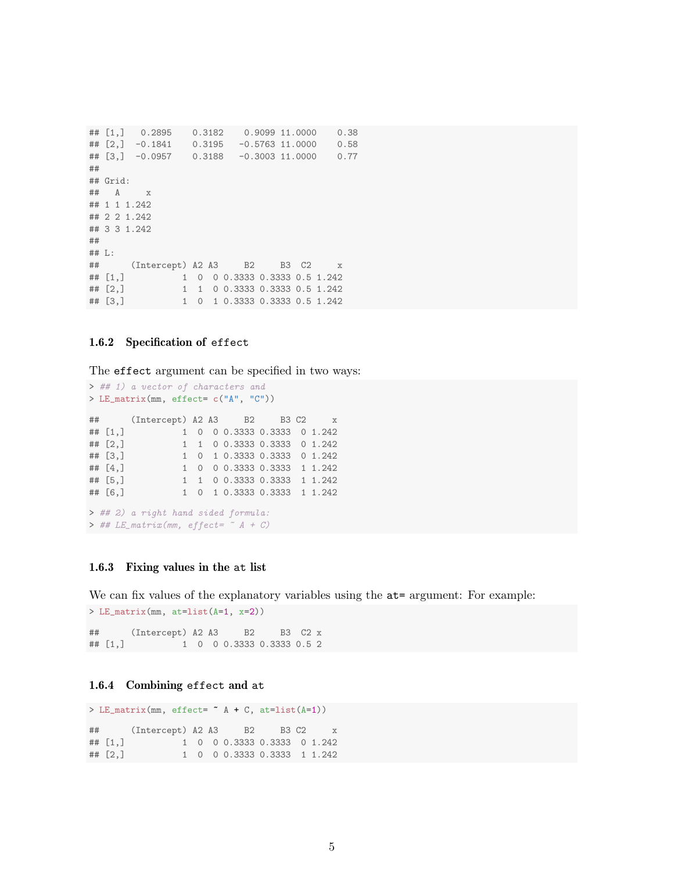```
## [1,] 0.2895 0.3182 0.9099 11.0000 0.38
## [2,] -0.1841 0.3195 -0.5763 11.0000 0.58
## [3,] -0.0957 0.3188 -0.3003 11.0000 0.77
##
## Grid:
## A x
## 1 1 1.242
## 2 2 1.242
## 3 3 1.242
##
## L:
## (Intercept) A2 A3 B2 B3 C2 x
## [1,] 1 0 0 0.3333 0.3333 0.5 1.242
## [2,] 1 1 0 0.3333 0.3333 0.5 1.242
## [3,] 1 0 1 0.3333 0.3333 0.5 1.242
```
#### <span id="page-4-0"></span>1.6.2 Specification of effect

The effect argument can be specified in two ways:

```
> ## 1) a vector of characters and
> LE_matrix(mm, effect= c("A", "C"))
## (Intercept) A2 A3 B2 B3 C2 x
## [1,] 1 0 0 0.3333 0.3333 0 1.242
## [2,] 1 1 0 0.3333 0.3333 0 1.242
## [3,] 1 0 1 0.3333 0.3333 0 1.242
## [4,] 1 0 0 0.3333 0.3333 1 1.242
## [5,] 1 1 0 0.3333 0.3333 1 1.242
## [6,] 1 0 1 0.3333 0.3333 1 1.242
> ## 2) a right hand sided formula:
> ## LE_matrix(mm, effect= \sim A + C)
```
#### <span id="page-4-1"></span>1.6.3 Fixing values in the at list

> LE\_matrix(mm, at=list(A=1, x=2))

We can fix values of the explanatory variables using the  $at=$  argument: For example:

```
## (Intercept) A2 A3 B2 B3 C2 x
## [1,] 1 0 0 0.3333 0.3333 0.5 2
```
#### <span id="page-4-2"></span>1.6.4 Combining effect and at

```
> LE_matrix(mm, effect= ~ A + C, at=list(A=1))
## (Intercept) A2 A3 B2 B3 C2 x
## [1,] 1 0 0 0.3333 0.3333 0 1.242
## [2,] 1 0 0 0.3333 0.3333 1 1.242
```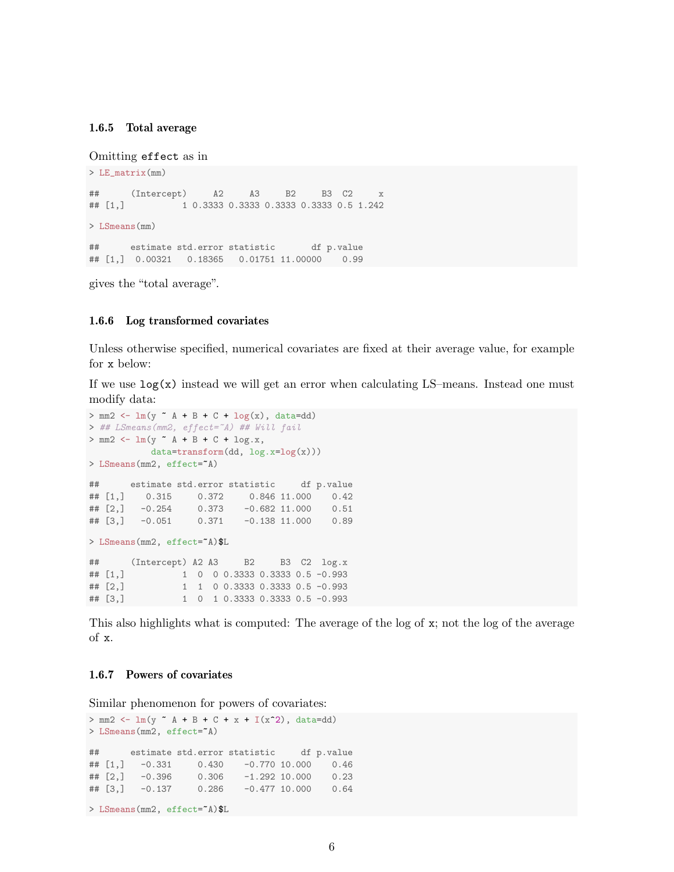#### <span id="page-5-0"></span>1.6.5 Total average

Omitting effect as in

```
> LE_matrix(mm)
## (Intercept) A2 A3 B2 B3 C2 x
## [1,] 1 0.3333 0.3333 0.3333 0.3333 0.5 1.242
> LSmeans(mm)
## estimate std.error statistic df p.value
## [1,] 0.00321 0.18365 0.01751 11.00000 0.99
```
gives the "total average".

#### <span id="page-5-1"></span>1.6.6 Log transformed covariates

Unless otherwise specified, numerical covariates are fixed at their average value, for example for x below:

If we use  $log(x)$  instead we will get an error when calculating LS–means. Instead one must modify data:

```
> mm2 <- lm(y - A + B + C + log(x)), data=dd)
> ## LSmeans(mm2, effect=~A) ## Will fail
> mm2 < - lm(y ~^{\sim} A + B + C + log.x,data=transform(dd, log.x=log(x)))
> LSmeans(mm2, effect="A)
## estimate std.error statistic df p.value
## [1,] 0.315 0.372 0.846 11.000 0.42
## [2,] -0.254 0.373 -0.682 11.000 0.51
                0.371 -0.138 11.000 0.89
> LSmeans(mm2, effect="A)$L
## (Intercept) A2 A3 B2 B3 C2 log.x
## [1,] 1 0 0 0.3333 0.3333 0.5 -0.993
## [2,] 1 1 0 0.3333 0.3333 0.5 -0.993
## [3,] 1 0 1 0.3333 0.3333 0.5 -0.993
```
This also highlights what is computed: The average of the log of x; not the log of the average of x.

#### <span id="page-5-2"></span>1.6.7 Powers of covariates

Similar phenomenon for powers of covariates:

```
> mm2 <- lm(y - A + B + C + x + I(x^2)), data=dd)
> LSmeans(mm2, effect="A)
## estimate std.error statistic df p.value
## [1,] -0.331 0.430 -0.770 10.000 0.46
## [2,] -0.396 0.306 -1.292 10.000 0.23
## [3,] -0.137 0.286 -0.477 10.000 0.64
> LSmeans(mm2, effect="A)$L
```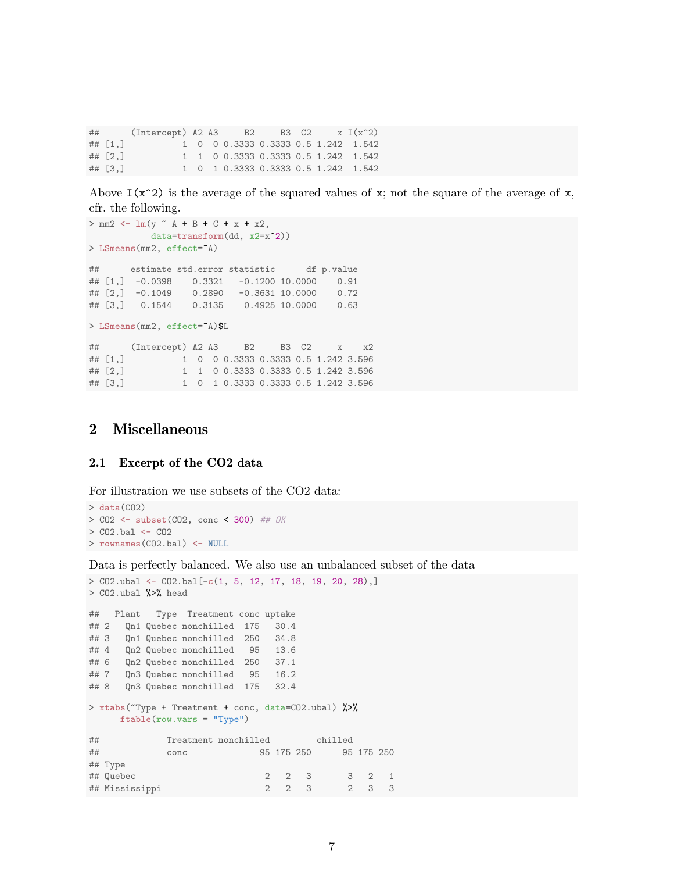$\#$  (Intercept) A2 A3 B2 B3 C2 x I(x^2) ## [1,] 1 0 0 0.3333 0.3333 0.5 1.242 1.542 ## [2,] 1 1 0 0.3333 0.3333 0.5 1.242 1.542 ## [3,] 1 0 1 0.3333 0.3333 0.5 1.242 1.542

Above  $I(x^2)$  is the average of the squared values of x; not the square of the average of x, cfr. the following.

```
> mm2 < - \ln(y - A + B + C + x + x2,data=transform(dd, x2=x^2))
> LSmeans(mm2, effect="A)
## estimate std.error statistic df p.value
## [1,] -0.0398 0.3321 -0.1200 10.0000 0.91
## [2,] -0.1049 0.2890 -0.3631 10.0000 0.72
## [3,] 0.1544 0.3135 0.4925 10.0000 0.63
> LSmeans(mm2, effect="A)$L
## (Intercept) A2 A3 B2 B3 C2 x x2
## [1,] 1 0 0 0.3333 0.3333 0.5 1.242 3.596
## [2,] 1 1 0 0.3333 0.3333 0.5 1.242 3.596
## [3,] 1 0 1 0.3333 0.3333 0.5 1.242 3.596
```
## <span id="page-6-0"></span>2 Miscellaneous

#### <span id="page-6-1"></span>2.1 Excerpt of the CO2 data

For illustration we use subsets of the CO2 data:

```
> data(CO2)
> CO2 <- subset(CO2, conc < 300) ## OK
> CO2.bal <- CO2
> rownames(CO2.bal) <- NULL
```
Data is perfectly balanced. We also use an unbalanced subset of the data

```
> CO2.ubal <- CO2.bal[-c(1, 5, 12, 17, 18, 19, 20, 28),]
> CO2.ubal %>% head
## Plant Type Treatment conc uptake
## 2 Qn1 Quebec nonchilled 175 30.4
## 3 Qn1 Quebec nonchilled 250 34.8
## 4 Qn2 Quebec nonchilled 95 13.6
## 6 Qn2 Quebec nonchilled 250 37.1
## 7 Qn3 Quebec nonchilled 95 16.2
## 8 Qn3 Quebec nonchilled 175 32.4
> xtabs(~Type + Treatment + conc, data=CO2.ubal) %>%
    ftable(row.vars = "Type")
## Treatment nonchilled chilled
## conc 95 175 250 95 175 250
## Type
## Quebec 2 2 3 3 2 1
## Mississippi 2 2 3 2 3 3
```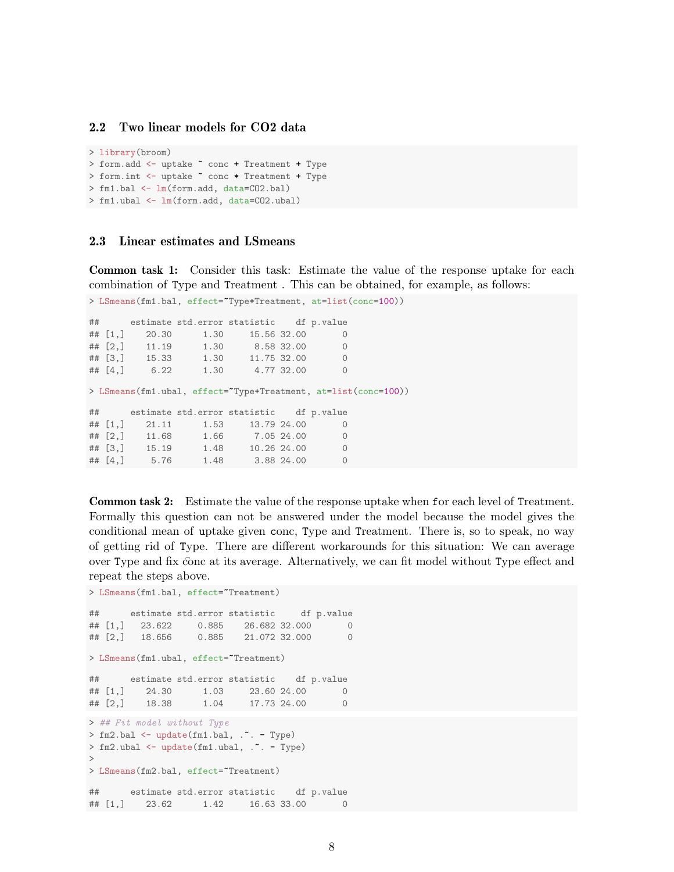### <span id="page-7-0"></span>2.2 Two linear models for CO2 data

```
> library(broom)
> form.add <- uptake ~ conc + Treatment + Type
> form.int <- uptake ~ conc * Treatment + Type
> fm1.bal <- lm(form.add, data=CO2.bal)
> fm1.ubal <- lm(form.add, data=CO2.ubal)
```
## <span id="page-7-1"></span>2.3 Linear estimates and LSmeans

Common task 1: Consider this task: Estimate the value of the response uptake for each combination of Type and Treatment . This can be obtained, for example, as follows:

```
## estimate std.error statistic df p.value
## [1,] 20.30 1.30 15.56 32.00 0
## [2,] 11.19 1.30 8.58 32.00 0
## [3,] 15.33 1.30 11.75 32.00 0
## [4,] 6.22 1.30 4.77 32.00 0
> LSmeans(fm1.ubal, effect=~Type+Treatment, at=list(conc=100))
## estimate std.error statistic df p.value
## [1,] 21.11 1.53 13.79 24.00 0<br>## [2,] 11.68 1.66 7.05 24.00 0
## [2,] 11.68 1.66 7.05 24.00 0
## [3,] 15.19 1.48 10.26 24.00 0
## [4,] 5.76 1.48 3.88 24.00 0
```
> LSmeans(fm1.bal, effect="Type+Treatment, at=list(conc=100))

Common task 2: Estimate the value of the response uptake when for each level of Treatment. Formally this question can not be answered under the model because the model gives the conditional mean of uptake given conc, Type and Treatment. There is, so to speak, no way of getting rid of Type. There are different workarounds for this situation: We can average over Type and fix conc at its average. Alternatively, we can fit model without Type effect and repeat the steps above.

```
> LSmeans(fm1.bal, effect="Treatment)
## estimate std.error statistic df p.value
## [1,] 23.622 0.885 26.682 32.000 0
                0.885 21.072 32.000 0
> LSmeans(fm1.ubal, effect="Treatment)
## estimate std.error statistic df p.value
## [1,] 24.30 1.03 23.60 24.00 0
## [2,] 18.38 1.04 17.73 24.00 0
> ## Fit model without Type
> fm2.bal \leq update(fm1.bal, \cdot - Type)
> fm2.ubal <- update(fm1.ubal, . ~. - Type)
>
> LSmeans(fm2.bal, effect="Treatment)
## estimate std.error statistic df p.value
## [1,] 23.62 1.42 16.63 33.00 0
```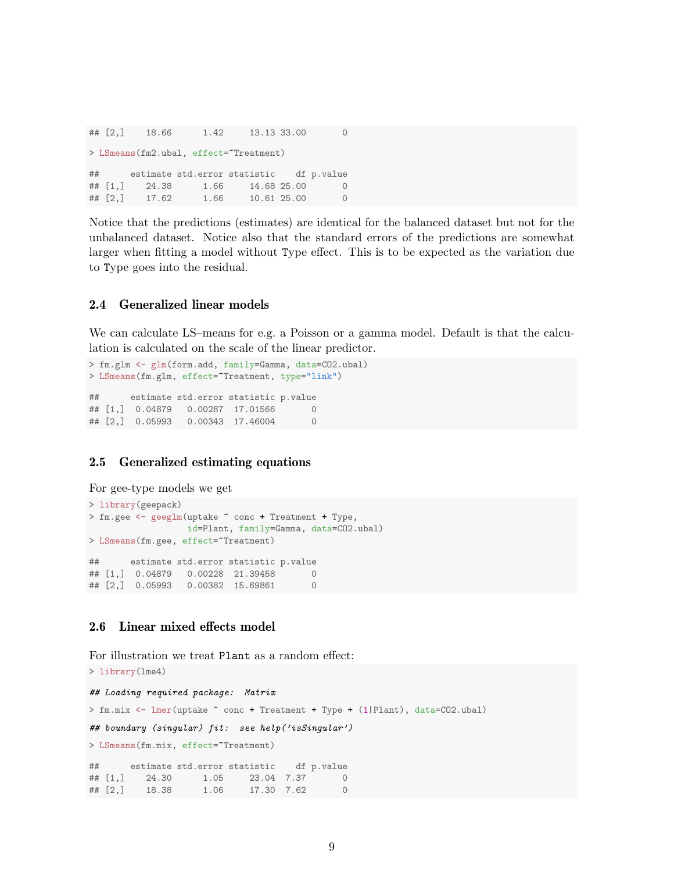## [2,] 18.66 1.42 13.13 33.00 0 > LSmeans(fm2.ubal, effect="Treatment) ## estimate std.error statistic df p.value ## [1,] 24.38 1.66 14.68 25.00 0 ## [2,] 17.62 1.66 10.61 25.00 0

Notice that the predictions (estimates) are identical for the balanced dataset but not for the unbalanced dataset. Notice also that the standard errors of the predictions are somewhat larger when fitting a model without Type effect. This is to be expected as the variation due to Type goes into the residual.

### <span id="page-8-0"></span>2.4 Generalized linear models

We can calculate LS–means for e.g. a Poisson or a gamma model. Default is that the calculation is calculated on the scale of the linear predictor.

```
> fm.glm <- glm(form.add, family=Gamma, data=CO2.ubal)
> LSmeans(fm.glm, effect="Treatment, type="link")
## estimate std.error statistic p.value
## [1,] 0.04879 0.00287 17.01566 0
## [2,] 0.05993 0.00343 17.46004 0
```
#### <span id="page-8-1"></span>2.5 Generalized estimating equations

```
For gee-type models we get
```

```
> library(geepack)
> fm.gee <- geeglm(uptake ~ conc + Treatment + Type,
                 id=Plant, family=Gamma, data=CO2.ubal)
> LSmeans(fm.gee, effect="Treatment)
## estimate std.error statistic p.value
## [1,] 0.04879 0.00228 21.39458 0
## [2,] 0.05993 0.00382 15.69861 0
```
## <span id="page-8-2"></span>2.6 Linear mixed effects model

For illustration we treat Plant as a random effect:

```
> library(lme4)
## Loading required package: Matrix
> fm.mix <- lmer(uptake ~ conc + Treatment + Type + (1|Plant), data=CO2.ubal)
## boundary (singular) fit: see help('isSingular')
> LSmeans(fm.mix, effect="Treatment)
## estimate std.error statistic df p.value
## [1,] 24.30 1.05 23.04 7.37 0
## [2,] 18.38 1.06 17.30 7.62 0
```